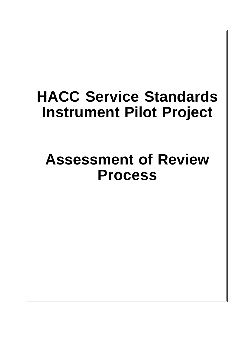# **HACC Service Standards Instrument Pilot Project**

# **Assessment of Review Process**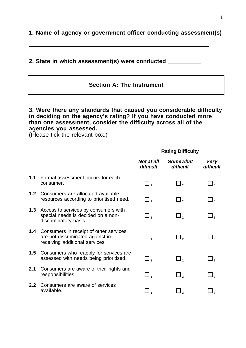**1. Name of agency or government officer conducting assessment(s)**

## **2. State in which assessment(s) were conducted \_\_\_\_\_\_\_\_\_\_**

## **Section A: The Instrument**

#### **3. Were there any standards that caused you considerable difficulty in deciding on the agency's rating? If you have conducted more than one assessment, consider the difficulty across all of the agencies you assessed.**

(Please tick the relevant box.)

#### **Rating Difficulty**

|                  |                                                                                                              | <b>Not at all</b><br>difficult | <b>Somewhat</b><br>difficult | Very<br>difficult   |
|------------------|--------------------------------------------------------------------------------------------------------------|--------------------------------|------------------------------|---------------------|
| 1.1              | Formal assessment occurs for each<br>consumer.                                                               | $\Box$                         | $\Box$ ,                     | $\Box$ <sub>3</sub> |
| 1.2 <sub>2</sub> | Consumers are allocated available<br>resources according to prioritised need.                                | $\square$ ,                    | $\Box$ ,                     | $\Box$ $_3$         |
| 1.3              | Access to services by consumers with<br>special needs is decided on a non-<br>discriminatory basis.          | $\Box$ 1                       | $\Box$ ,                     | $\Box$ <sub>3</sub> |
| 1.4              | Consumers in receipt of other services<br>are not discriminated against in<br>receiving additional services. | $\Box$ $_{4}$                  | $\Box$ ,                     | $\Box$ <sub>3</sub> |
| 1.5              | Consumers who reapply for services are<br>assessed with needs being prioritised.                             | $\Box$ ,                       | $\Box$ ,                     | $\Box$ <sub>3</sub> |
| 2.1              | Consumers are aware of their rights and<br>responsibilities.                                                 | $\Box$ $_{\textrm{\tiny{1}}}$  | $\Box$ ,                     |                     |
| 2.2              | Consumers are aware of services<br>available.                                                                |                                | $\mathsf{I}_2$               |                     |
|                  |                                                                                                              |                                |                              |                     |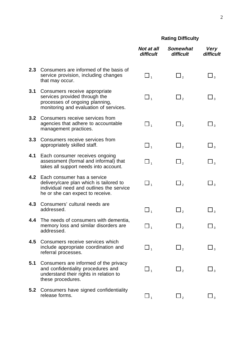## **Rating Difficulty**

|                  |                                                                                                                                                        | <b>Not at all</b><br>difficult | <b>Somewhat</b><br>difficult | <b>Very</b><br>difficult   |
|------------------|--------------------------------------------------------------------------------------------------------------------------------------------------------|--------------------------------|------------------------------|----------------------------|
| 2.3              | Consumers are informed of the basis of<br>service provision, including changes<br>that may occur.                                                      | $\square$                      | $\Box$ <sub>2</sub>          | $\square$ <sub>3</sub>     |
| 3.1              | Consumers receive appropriate<br>services provided through the<br>processes of ongoing planning,<br>monitoring and evaluation of services.             | $\square$ <sub>1</sub>         | $\Box$ <sub>2</sub>          | $\Box$ <sub>3</sub>        |
| 3.2 <sub>2</sub> | Consumers receive services from<br>agencies that adhere to accountable<br>management practices.                                                        | $\square$                      | $\Box$ <sub>2</sub>          | $\Box$ <sub>3</sub>        |
| 3.3              | Consumers receive services from<br>appropriately skilled staff.                                                                                        | $\square$                      | $\square$ <sub>2</sub>       | $\square_{\,\mathfrak{z}}$ |
| 4.1              | Each consumer receives ongoing<br>assessment (formal and informal) that<br>takes all support needs into account.                                       | $\square$ 1                    | $\Box$ ,                     | $\Box$ <sub>3</sub>        |
| 4.2              | Each consumer has a service<br>delivery/care plan which is tailored to<br>individual need and outlines the service<br>he or she can expect to receive. | $\square$                      | $\Box$ ,                     | $\Box$ <sub>3</sub>        |
| 4.3              | Consumers' cultural needs are<br>addressed.                                                                                                            | $\square$ <sub>1</sub>         | $\Box$ ,                     | $\Box$ <sub>3</sub>        |
| 4.4              | The needs of consumers with dementia,<br>memory loss and similar disorders are<br>addressed.                                                           | $\Box$ $_1$                    | 」,                           | $\Box$ <sub>3</sub>        |
| 4.5              | Consumers receive services which<br>include appropriate coordination and<br>referral processes.                                                        | $\Box$ <sub>1</sub>            | $\Box$ ,                     | $\Box$ <sub>3</sub>        |
| 5.1              | Consumers are informed of the privacy<br>and confidentiality procedures and<br>understand their rights in relation to<br>these procedures.             | $\square$ <sub>1</sub>         | $\Box$ ,                     | $\square$ $_3$             |
| 5.2              | Consumers have signed confidentiality<br>release forms.                                                                                                | $\Box$ <sub>1</sub>            | $\Box$ ,                     | $\Box$ <sub>3</sub>        |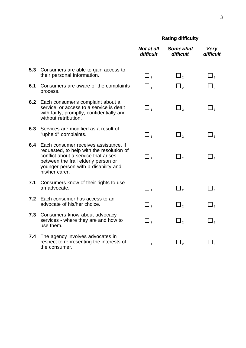## **Rating difficulty**

|     |                                                                                                                                                                                                                             | Not at all<br>difficult | <b>Somewhat</b><br>difficult | <b>Very</b><br>difficult           |
|-----|-----------------------------------------------------------------------------------------------------------------------------------------------------------------------------------------------------------------------------|-------------------------|------------------------------|------------------------------------|
|     | 5.3 Consumers are able to gain access to<br>their personal information.                                                                                                                                                     | $\Box$ <sub>1</sub>     | $\square$ ,                  | $\square_{\,\scriptscriptstyle 3}$ |
| 6.1 | Consumers are aware of the complaints<br>process.                                                                                                                                                                           | $\square$               | 」。                           | $\Box$ <sub>3</sub>                |
| 6.2 | Each consumer's complaint about a<br>service, or access to a service is dealt<br>with fairly, promptly, confidentially and<br>without retribution.                                                                          | $\square$ $_1$          | $\Box$ <sub>2</sub>          | $\Box$ <sub>3</sub>                |
| 6.3 | Services are modified as a result of<br>"upheld" complaints.                                                                                                                                                                | $\square$               | $\square$ ,                  | $\Box$ <sub>3</sub>                |
| 6.4 | Each consumer receives assistance, if<br>requested, to help with the resolution of<br>conflict about a service that arises<br>between the frail elderly person or<br>younger person with a disability and<br>his/her carer. | $\square$               | $\Box$ <sub>2</sub>          | $\square_{\scriptscriptstyle{3}}$  |
| 7.1 | Consumers know of their rights to use<br>an advocate.                                                                                                                                                                       | $\square$               | $\square$ ,                  | $\Box$ <sub>3</sub>                |
| 7.2 | Each consumer has access to an<br>advocate of his/her choice.                                                                                                                                                               | $\Box$ <sub>1</sub>     | $\Box$ ,                     | $\Box$ $_3$                        |
| 7.3 | Consumers know about advocacy<br>services - where they are and how to<br>use them.                                                                                                                                          | $\Box$ <sub>1</sub>     | $\Box$ <sub>2</sub>          | $\square$ <sub>3</sub>             |
| 7.4 | The agency involves advocates in<br>respect to representing the interests of<br>the consumer.                                                                                                                               | $\Box$ <sub>1</sub>     | $\Box$ ,                     | $\Box$ <sub>3</sub>                |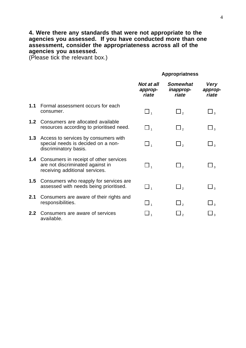## **4. Were there any standards that were not appropriate to the agencies you assessed. If you have conducted more than one assessment, consider the appropriateness across all of the agencies you assessed.**

(Please tick the relevant box.)

#### **Appropriatness**

|     |                                                                                                              | Not at all<br>approp-<br>riate | <b>Somewhat</b><br>inapprop-<br>riate | <b>Very</b><br>approp-<br>riate |
|-----|--------------------------------------------------------------------------------------------------------------|--------------------------------|---------------------------------------|---------------------------------|
| 1.1 | Formal assessment occurs for each<br>consumer.                                                               | $\Box$ 1                       | $\Box$ ,                              | $\Box$ <sub>3</sub>             |
| 1.2 | Consumers are allocated available<br>resources according to prioritised need.                                | $\Box$ 1                       | $\Box$ ,                              | $\Box$ <sub>3</sub>             |
| 1.3 | Access to services by consumers with<br>special needs is decided on a non-<br>discriminatory basis.          | $\Box$ <sub>1</sub>            | $\Box$ ,                              | $\Box$ <sub>3</sub>             |
| 1.4 | Consumers in receipt of other services<br>are not discriminated against in<br>receiving additional services. | $\Box$ $_{4}$                  | $\Box$ ,                              | $\Box$ <sub>3</sub>             |
| 1.5 | Consumers who reapply for services are.<br>assessed with needs being prioritised.                            | $\Box$ ,                       | $\Box$ ,                              | $\Box$ <sub>3</sub>             |
| 2.1 | Consumers are aware of their rights and<br>responsibilities.                                                 | $\Box$                         | $\Box$ ,                              | $\Box$ <sub>3</sub>             |
| 2.2 | Consumers are aware of services<br>available.                                                                | $\Box$ 1                       | $\Box$ ,                              | $\Box$ <sub>3</sub>             |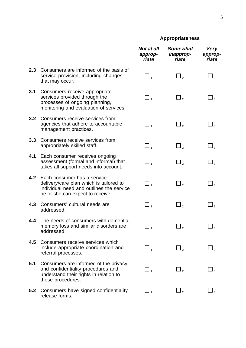## **Appropriateness**

|     |                                                                                                                                                        | Not at all<br>approp-<br>riate | <b>Somewhat</b><br>inapprop-<br>riate | <b>Very</b><br>approp-<br>riate |
|-----|--------------------------------------------------------------------------------------------------------------------------------------------------------|--------------------------------|---------------------------------------|---------------------------------|
| 2.3 | Consumers are informed of the basis of<br>service provision, including changes<br>that may occur.                                                      | $\square$                      | $\Box$ ,                              | $\Box$ <sub>3</sub>             |
| 3.1 | Consumers receive appropriate<br>services provided through the<br>processes of ongoing planning,<br>monitoring and evaluation of services.             | $\square$ <sub>1</sub>         | $\Box$ <sub>2</sub>                   | $\Box_3$                        |
| 3.2 | Consumers receive services from<br>agencies that adhere to accountable<br>management practices.                                                        | $\square$                      | $\square_{\,\mathrm{2}}$              | $\Box_3$                        |
| 3.3 | Consumers receive services from<br>appropriately skilled staff.                                                                                        | $\Box$ <sub>1</sub>            | $\Box$ ,                              | $\Box$ <sub>3</sub>             |
| 4.1 | Each consumer receives ongoing<br>assessment (formal and informal) that<br>takes all support needs into account.                                       | $\square$ <sub>1</sub>         | $\Box$ ,                              | $\Box$ <sub>3</sub>             |
| 4.2 | Each consumer has a service<br>delivery/care plan which is tailored to<br>individual need and outlines the service<br>he or she can expect to receive. | $\square$                      | $\Box_{\,{}_{2}}$                     | $\Box$ <sub>3</sub>             |
| 4.3 | Consumers' cultural needs are<br>addressed.                                                                                                            | $\Box$ <sub>1</sub>            | $\square_{\scriptscriptstyle 2}$      | $\square$ <sub>3</sub>          |
| 4.4 | The needs of consumers with dementia,<br>memory loss and similar disorders are<br>addressed.                                                           | $\square$ <sub>1</sub>         | د ك                                   | $\Box_3$                        |
| 4.5 | Consumers receive services which<br>include appropriate coordination and<br>referral processes.                                                        | $\square$ <sub>1</sub>         | $\Box$ <sub>2</sub>                   | $\Box$ <sub>3</sub>             |
| 5.1 | Consumers are informed of the privacy<br>and confidentiality procedures and<br>understand their rights in relation to<br>these procedures.             | $\square$                      | $\Box$ ,                              | $\Box$ <sub>3</sub>             |
| 5.2 | Consumers have signed confidentiality<br>release forms.                                                                                                | $\Box$ <sub>1</sub>            | $\Box$ <sub>2</sub>                   | $\Box$ <sub>3</sub>             |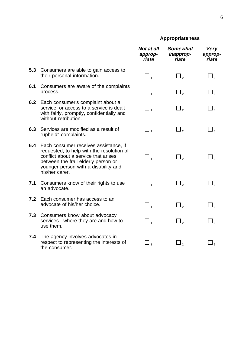## **Appropriateness**

|     |                                                                                                                                                                                                                             | <b>Not at all</b><br>approp-<br>riate | <b>Somewhat</b><br>inapprop-<br>riate | <b>Very</b><br>approp-<br>riate  |
|-----|-----------------------------------------------------------------------------------------------------------------------------------------------------------------------------------------------------------------------------|---------------------------------------|---------------------------------------|----------------------------------|
| 5.3 | Consumers are able to gain access to<br>their personal information.                                                                                                                                                         | $\square$                             | $\square$ ,                           | $\square$ <sub>3</sub>           |
| 6.1 | Consumers are aware of the complaints<br>process.                                                                                                                                                                           | $\square$ ,                           | $\square$ ,                           | $\square$ <sub>3</sub>           |
| 6.2 | Each consumer's complaint about a<br>service, or access to a service is dealt<br>with fairly, promptly, confidentially and<br>without retribution.                                                                          | $\square$ <sub>1</sub>                | $\Box$ <sub>2</sub>                   | $\square_{\scriptscriptstyle 3}$ |
| 6.3 | Services are modified as a result of<br>"upheld" complaints.                                                                                                                                                                | $\Box$ ,                              | $\square$ <sub>2</sub>                | $\square_{\scriptscriptstyle 3}$ |
| 6.4 | Each consumer receives assistance, if<br>requested, to help with the resolution of<br>conflict about a service that arises<br>between the frail elderly person or<br>younger person with a disability and<br>his/her carer. | $\Box$ ,                              | $\mathbf{\perp}$                      | $\Box$ <sub>3</sub>              |
| 7.1 | Consumers know of their rights to use<br>an advocate.                                                                                                                                                                       | $\Box$ <sub>1</sub>                   | $\square$ <sub>2</sub>                | $\square$ <sub>3</sub>           |
| 7.2 | Each consumer has access to an<br>advocate of his/her choice.                                                                                                                                                               | $\square$ <sub>1</sub>                | $\square$ <sub>2</sub>                | $\square_{\scriptscriptstyle 3}$ |
| 7.3 | Consumers know about advocacy<br>services - where they are and how to<br>use them.                                                                                                                                          | $\square$                             | $\Box$ ,                              | $\square$                        |
| 7.4 | The agency involves advocates in<br>respect to representing the interests of<br>the consumer.                                                                                                                               | $\square$ <sub>1</sub>                | $\square_{\,\rm 2}$                   | $\Box$ $_3$                      |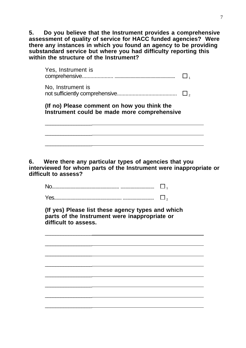**5. Do you believe that the Instrument provides a comprehensive assessment of quality of service for HACC funded agencies? Were there any instances in which you found an agency to be providing substandard service but where you had difficulty reporting this within the structure of the Instrument?**

| (If no) Please comment on how you think the<br>Instrument could be made more comprehensive |  |
|--------------------------------------------------------------------------------------------|--|
| No, Instrument is                                                                          |  |
|                                                                                            |  |

**6. Were there any particular types of agencies that you interviewed for whom parts of the Instrument were inappropriate or difficult to assess?**

No...................................................... ........................... <sup>1</sup>

Yes............................................................................... <sup>2</sup>

\_\_\_\_\_\_\_\_\_\_\_\_\_\_\_\_\_\_

\_\_\_\_\_\_\_\_\_\_\_\_\_\_\_\_\_\_

\_\_\_\_\_\_\_\_\_\_\_\_\_\_\_\_\_\_

\_\_\_\_\_\_\_\_\_\_\_\_\_\_\_\_\_\_

\_\_\_\_\_\_\_\_\_\_\_\_\_\_\_\_\_\_

\_\_\_\_\_\_\_\_\_\_\_\_\_\_\_\_\_\_

\_\_\_\_\_\_\_\_\_\_\_\_\_\_\_\_\_\_

\_\_\_\_\_\_\_\_\_\_\_\_\_\_\_\_\_\_

**(If yes) Please list these agency types and which parts of the Instrument were inappropriate or difficult to assess.**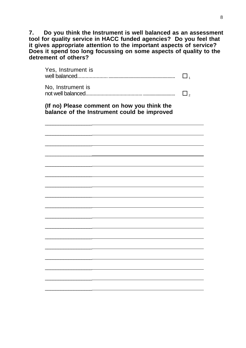**7. Do you think the Instrument is well balanced as an assessment tool for quality service in HACC funded agencies? Do you feel that it gives appropriate attention to the important aspects of service? Does it spend too long focussing on some aspects of quality to the detrement of others?**

| Yes, Instrument is                                                                         | 」。                  |
|--------------------------------------------------------------------------------------------|---------------------|
| No, Instrument is<br>not well balanced                                                     | $\Box$ <sub>2</sub> |
| (If no) Please comment on how you think the<br>balance of the Instrument could be improved |                     |
|                                                                                            |                     |
|                                                                                            |                     |
|                                                                                            |                     |
|                                                                                            |                     |
|                                                                                            |                     |
|                                                                                            |                     |
|                                                                                            |                     |
|                                                                                            |                     |
|                                                                                            |                     |
|                                                                                            |                     |
|                                                                                            |                     |
|                                                                                            |                     |
|                                                                                            |                     |
|                                                                                            |                     |
|                                                                                            |                     |
|                                                                                            |                     |
|                                                                                            |                     |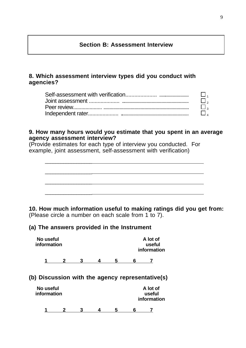## **Section B: Assessment Interview**

## **8. Which assessment interview types did you conduct with agencies?**

| $\Box$   |
|----------|
| $\Box$ , |
| $\Box$   |
| $\Box$   |

#### **9. How many hours would you estimate that you spent in an average agency assessment interview?**

(Provide estimates for each type of interview you conducted. For example, joint assessment, self-assessment with verification)



**10. How much information useful to making ratings did you get from:** (Please circle a number on each scale from 1 to 7).

## **(a) The answers provided in the Instrument**

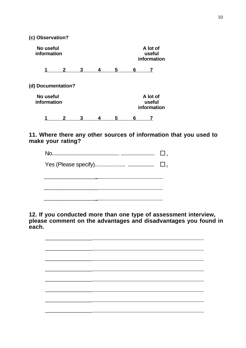**(c) Observation?**

|                          | No useful<br>information |   |   |   |   |                                   | A lot of<br>useful<br>information |  |  |
|--------------------------|--------------------------|---|---|---|---|-----------------------------------|-----------------------------------|--|--|
|                          | 2                        | 3 | 4 | 5 | 6 | 7                                 |                                   |  |  |
|                          | (d) Documentation?       |   |   |   |   |                                   |                                   |  |  |
| No useful<br>information |                          |   |   |   |   | A lot of<br>useful<br>information |                                   |  |  |
|                          |                          |   |   | 5 | 6 |                                   |                                   |  |  |

## **11. Where there any other sources of information that you used to make your rating?**



**12. If you conducted more than one type of assessment interview, please comment on the advantages and disadvantages you found in each.**